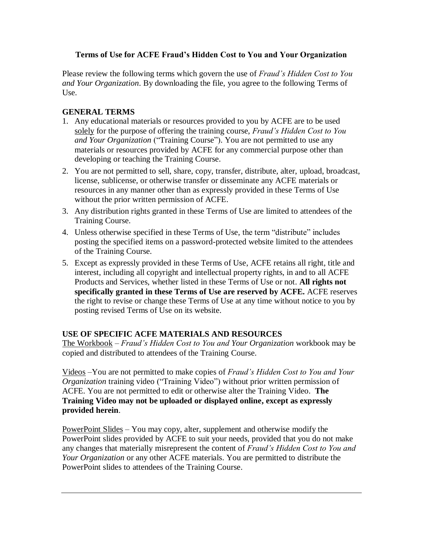## **Terms of Use for ACFE Fraud's Hidden Cost to You and Your Organization**

Please review the following terms which govern the use of *Fraud's Hidden Cost to You and Your Organization*. By downloading the file, you agree to the following Terms of Use.

## **GENERAL TERMS**

- 1. Any educational materials or resources provided to you by ACFE are to be used solely for the purpose of offering the training course, *Fraud's Hidden Cost to You and Your Organization* ("Training Course"). You are not permitted to use any materials or resources provided by ACFE for any commercial purpose other than developing or teaching the Training Course.
- 2. You are not permitted to sell, share, copy, transfer, distribute, alter, upload, broadcast, license, sublicense, or otherwise transfer or disseminate any ACFE materials or resources in any manner other than as expressly provided in these Terms of Use without the prior written permission of ACFE.
- 3. Any distribution rights granted in these Terms of Use are limited to attendees of the Training Course.
- 4. Unless otherwise specified in these Terms of Use, the term "distribute" includes posting the specified items on a password-protected website limited to the attendees of the Training Course.
- 5. Except as expressly provided in these Terms of Use, ACFE retains all right, title and interest, including all copyright and intellectual property rights, in and to all ACFE Products and Services, whether listed in these Terms of Use or not. **All rights not specifically granted in these Terms of Use are reserved by ACFE.** ACFE reserves the right to revise or change these Terms of Use at any time without notice to you by posting revised Terms of Use on its website.

## **USE OF SPECIFIC ACFE MATERIALS AND RESOURCES**

The Workbook – *Fraud's Hidden Cost to You and Your Organization* workbook may be copied and distributed to attendees of the Training Course.

Videos –You are not permitted to make copies of *Fraud's Hidden Cost to You and Your Organization* training video ("Training Video") without prior written permission of ACFE. You are not permitted to edit or otherwise alter the Training Video. **The Training Video may not be uploaded or displayed online, except as expressly provided herein**.

PowerPoint Slides – You may copy, alter, supplement and otherwise modify the PowerPoint slides provided by ACFE to suit your needs, provided that you do not make any changes that materially misrepresent the content of *Fraud's Hidden Cost to You and Your Organization* or any other ACFE materials. You are permitted to distribute the PowerPoint slides to attendees of the Training Course.